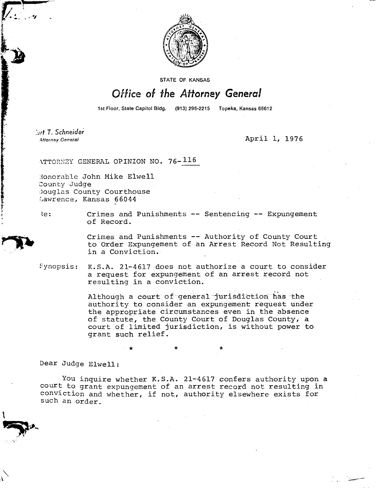

STATE OF KANSAS

## Office of the Attorney General

1st Floor, State Capitol Bldg. (913) 296-2215 Topeka, Kansas 66612

:Lid T. *Schneider* 

Attorney General April 1, 1976

ATTORNEY GENERAL OPINION NO. 76-116

Honorable John Mike Elwell County Judge Douglas County Courthouse Lawrence, Kansas 66044

Re: Crimes and Punishments -- Sentencing -- Expungement of Record.

> Crimes and Punishments -- Authority of County Court to Order Expungement of an Arrest Record Not Resulting in a Conviction.

synopsis: K.S.A. 21-4617 does not authorize a court to consider a request for expungement of an arrest record not resulting in a conviction.

> Although a court of general jurisdiction has the authority to consider an expungement request under the appropriate circumstances even in the absence of statute, the County Court of Douglas County, a court of limited jurisdiction, is without power to grant such relief.

> > \*

Dear Judge Elwell:

You inquire whether K.S.A. 21-4617 confers authority upon a court to grant expungement of an arrest record not resulting in conviction and whether, if not, authority elsewhere exists for such an order.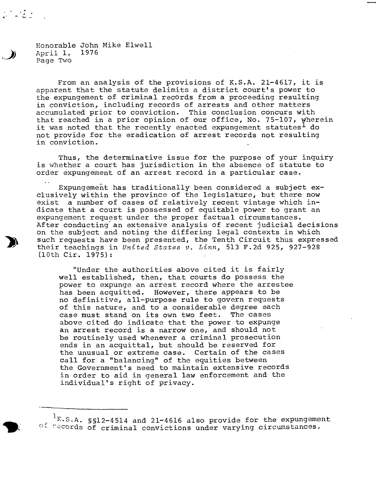Honorable John Mike Elwell 1976 April 1, Page Two

From an analysis of the provisions of K.S.A. 21-4617, it is apparent that the statute delimits a district court's power to the expungement of criminal records from a proceeding resulting in conviction, including records of arrests and other matters accumulated prior to conviction. This conclusion concurs with that reached in a prior opinion of our office, No. 75-107, wherein it was noted that the recently enacted expungement statutes  $^1$  do not provide for the eradication of arrest records not resulting in conviction.

Thus, the determinative issue for the purpose of your inquiry is whether a court has jurisdiction in the absence of statute to order expungement of an arrest record in a particular case.

Expungement has traditionally been considered a subject exclusively within the province of the legislature, but there now exist a number of cases of relatively recent vintage which indicate that a court is possessed of equitable power to grant an expungement request under the proper factual circumstances. After conducting an extensive analysis of recent judicial decisions on the subject and noting the differing legal contexts in which such requests have been presented, the Tenth Circuit thus expressed their teachings in United States v. Linn, 513 F.2d 925, 927-928 (10th Cir. 1975):

"Under the authorities above cited it is fairly well established, then, that courts do possess the power to expunge an arrest record where the arrestee has been acquitted. However, there appears to be no definitive, all-purpose rule to govern requests of this nature, and to a considerable degree each case must stand on its own two feet. The cases above cited do indicate that the power to expunge an arrest record is a narrow one, and should not be routinely used whenever a criminal prosecution ends in an acquittal, but should be reserved for the unusual or extreme case. Certain of the cases call for a "balancing" of the equities between the Government's need to maintain extensive records in order to aid in general law enforcement and the individual's right of privacy.

 $1$ K.S.A. §§12-4514 and 21-4616 also provide for the expungement of records of criminal convictions under varying circumstances.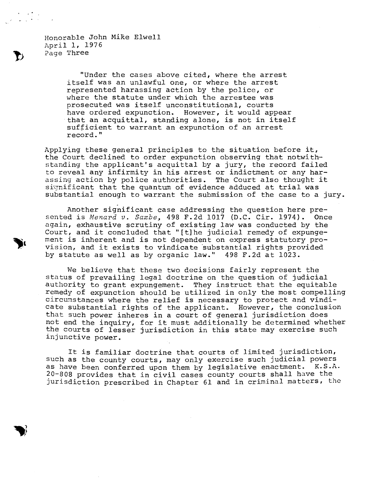Honorable John Mike Elwell April 1, 1976 Page Three

> "Under the cases above cited, where the arrest itself was an unlawful one, or where the arrest represented harassing action by the police, or where the statute under which the arrestee was prosecuted was itself unconstitutional, courts have ordered expunction. However, it would appear that an acquittal, standing alone, is not in itself sufficient to warrant an expunction of an arrest record."

Applying these general principles to the situation before it, the Court declined to order expunction observing that notwithstanding the applicant's acquittal by a jury, the record failed to reveal any infirmity in his arrest or indictment or any harassing action by police authorities. The Court also thought it significant that the quantum of evidence adduced at trial was substantial enough to warrant the submission of the case to a jury.

Another significant case addressing the question here presented is Menard v. Saxbe, 498 F.2d 1017 (D.C. Cir. 1974). Once again, exhaustive scrutiny of existing law was conducted by the Court, and it concluded that " $[t]$ he judicial remedy of expungement is inherent and is not dependent on express statutory provision, and it exists to vindicate substantial rights provided by statute as well as by organic law." 498 F.2d at 1023.

We believe that these two decisions fairly represent the status of prevailing legal doctrine on the question of judicial authority to grant expungement. They instruct that the equitable remedy of expunction should be utilized in only the most compelling circumstances where the relief is necessary to protect and vindicate substantial rights of the applicant. However, the conclusion that such power inheres in a court of general jurisdiction does not end the inquiry, for it must additionally be determined whether the courts of lesser jurisdiction in this state may exercise such injunctive power.

It is familiar doctrine that courts of limited jurisdiction, such as the county courts, may only exercise such judicial powers as have been conferred upon them by legislative enactment. K.S.A. 20-808 provides that in civil cases county courts shall have the Jurisdiction prescribed in Chapter 61 and in criminal matters, the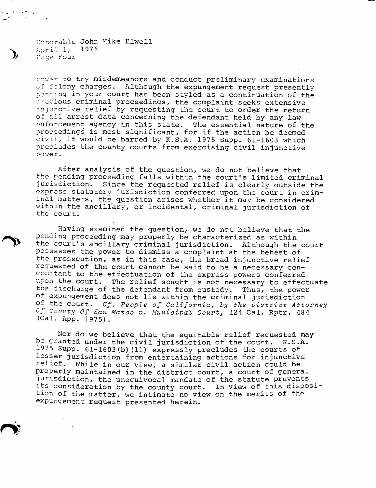Honorable John Mike Elwell April 1, 1976 Page Four

power to try misdemeanors and conduct preliminary examinations of felony charges. Although the expungement request presently Pending in your court has been styled as a continuation of the previous criminal proceedings, the complaint seeks extensive injunctive relief by requesting the court to order the return of all arrest data concerning the defendant held by any law enforcement agency in this state. The essential nature of the proceedings is most significant, for if the action be deemed civil, it would be barred by K.S.A. 1975 Supp. 61-1603 which precludes the county courts from exercising civil injunctive power.

After analysis of the question, we do not believe that the pending proceeding falls within the court's limited criminal jurisdiction. Since the requested relief is clearly outside the express statutory jurisdiction conferred upon the court in criminal matters, the question arises whether it may be considered within the ancillary, or incidental, criminal jurisdiction of the court.

Having examined the question, we do not believe that the pending proceeding may properly be characterized as within the court's ancillary criminal jurisdiction. Although the court possesses the power to dismiss a complaint at the behest of the prosecution, as in this case, the broad injunctive relief requested of the court cannot be said to be a necessary concomitant to the effectuation of the express powers conferred upon the court. The relief sought is not necessary to effectuate the discharge of the defendant from custody. Thus, the power of expungement does not lie within the criminal jurisdiction of the court. Cf. People of California, by the District Attorney Of County Of San Mateo v. Municipal Court, 124 Cal. Rptr. 484 (Cal. App. 1975).

Nor do we believe that the equitable relief requested may be granted under the civil jurisdiction of the court. K.S.A. 1975 Supp. 61-1603(b)(11) expressly precludes the courts of lesser jurisdiction from entertaining actions for injunctive relief. While in our view, a similar civil action could be properly maintained in the district court, a court of general jurisdiction, the unequivocal mandate of the statute prevents its consideration by the county court. In view of this disposition of the matter, we intimate no view on the merits of the expungement request presented herein.